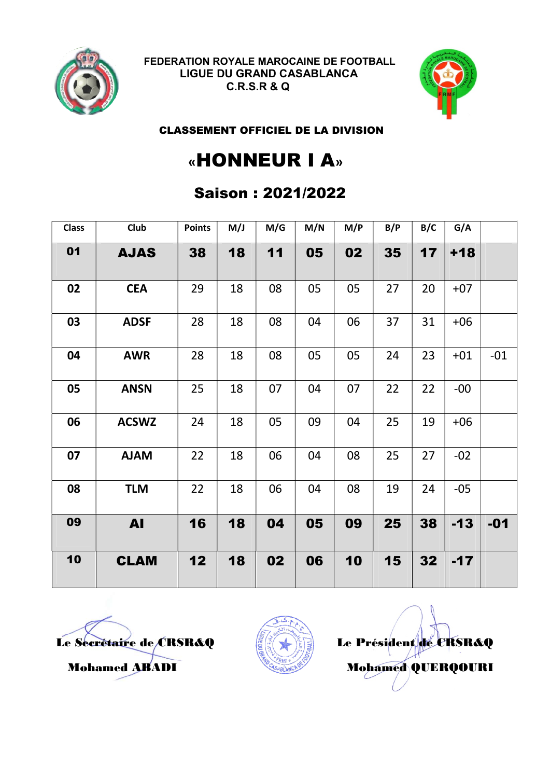



CLASSEMENT OFFICIEL DE LA DIVISION

# «HONNEUR I A»

### Saison : 2021/2022

| <b>Class</b> | Club         | <b>Points</b> | M/J | M/G | M/N | M/P | B/P | B/C | G/A   |       |
|--------------|--------------|---------------|-----|-----|-----|-----|-----|-----|-------|-------|
| 01           | <b>AJAS</b>  | 38            | 18  | 11  | 05  | 02  | 35  | 17  | $+18$ |       |
| 02           | <b>CEA</b>   | 29            | 18  | 08  | 05  | 05  | 27  | 20  | $+07$ |       |
| 03           | <b>ADSF</b>  | 28            | 18  | 08  | 04  | 06  | 37  | 31  | $+06$ |       |
| 04           | <b>AWR</b>   | 28            | 18  | 08  | 05  | 05  | 24  | 23  | $+01$ | $-01$ |
| 05           | <b>ANSN</b>  | 25            | 18  | 07  | 04  | 07  | 22  | 22  | $-00$ |       |
| 06           | <b>ACSWZ</b> | 24            | 18  | 05  | 09  | 04  | 25  | 19  | $+06$ |       |
| 07           | <b>NALA</b>  | 22            | 18  | 06  | 04  | 08  | 25  | 27  | $-02$ |       |
| 08           | <b>TLM</b>   | 22            | 18  | 06  | 04  | 08  | 19  | 24  | $-05$ |       |
| 09           | <b>AI</b>    | 16            | 18  | 04  | 05  | 09  | 25  | 38  | $-13$ | $-01$ |
| 10           | <b>CLAM</b>  | 12            | 18  | 02  | 06  | 10  | 15  | 32  | $-17$ |       |



Le Secrétaire de CRSR&Q  $\begin{array}{c} \begin{array}{c} \end{array} \end{array}$  Le Président de CRSR&Q Mohamed ABADI Mohamed QUERQOURI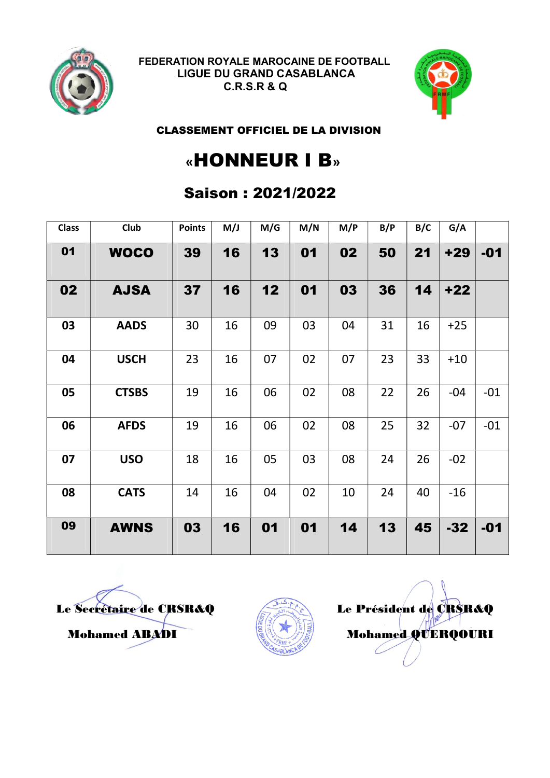



#### CLASSEMENT OFFICIEL DE LA DIVISION

### «HONNEUR I B»

### Saison : 2021/2022

| <b>Class</b> | <b>Club</b>  | <b>Points</b> | M/J | M/G | M/N | M/P | B/P | B/C | G/A   |       |
|--------------|--------------|---------------|-----|-----|-----|-----|-----|-----|-------|-------|
| 01           | <b>WOCO</b>  | 39            | 16  | 13  | 01  | 02  | 50  | 21  | $+29$ | $-01$ |
| 02           | <b>AJSA</b>  | 37            | 16  | 12  | 01  | 03  | 36  | 14  | $+22$ |       |
| 03           | <b>AADS</b>  | 30            | 16  | 09  | 03  | 04  | 31  | 16  | $+25$ |       |
| 04           | <b>USCH</b>  | 23            | 16  | 07  | 02  | 07  | 23  | 33  | $+10$ |       |
| 05           | <b>CTSBS</b> | 19            | 16  | 06  | 02  | 08  | 22  | 26  | $-04$ | $-01$ |
| 06           | <b>AFDS</b>  | 19            | 16  | 06  | 02  | 08  | 25  | 32  | $-07$ | $-01$ |
| 07           | <b>USO</b>   | 18            | 16  | 05  | 03  | 08  | 24  | 26  | $-02$ |       |
| 08           | <b>CATS</b>  | 14            | 16  | 04  | 02  | 10  | 24  | 40  | $-16$ |       |
| 09           | <b>AWNS</b>  | 03            | 16  | 01  | 01  | 14  | 13  | 45  | $-32$ | $-01$ |

Le Secrétaire de CRSR&Q Le Président de CRSR&Q



Mohamed ABADI Mohamed QUERQOURI